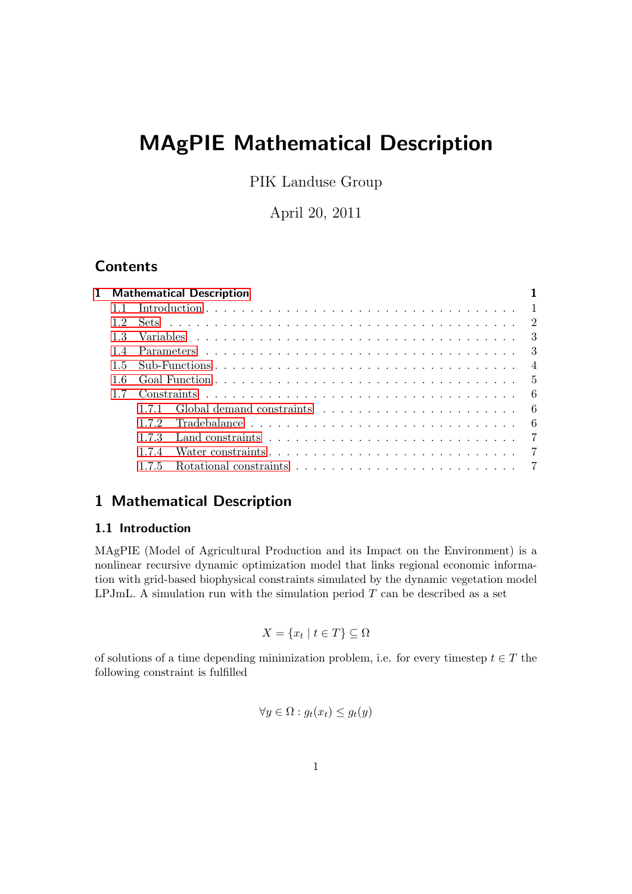# MAgPIE Mathematical Description

PIK Landuse Group

April 20, 2011

## **Contents**

| <b>Mathematical Description</b> |     |                                                                  |  |  |
|---------------------------------|-----|------------------------------------------------------------------|--|--|
|                                 |     |                                                                  |  |  |
| 12                              |     |                                                                  |  |  |
| 13                              |     |                                                                  |  |  |
| 14                              |     |                                                                  |  |  |
| 1.5                             |     |                                                                  |  |  |
| 16                              |     |                                                                  |  |  |
|                                 |     |                                                                  |  |  |
|                                 | 171 |                                                                  |  |  |
|                                 | 172 |                                                                  |  |  |
|                                 | 173 |                                                                  |  |  |
|                                 | 174 | Water constraints experience is a series of the constraints of 7 |  |  |
|                                 | 175 |                                                                  |  |  |
|                                 |     |                                                                  |  |  |

# <span id="page-0-0"></span>1 Mathematical Description

### <span id="page-0-1"></span>1.1 Introduction

MAgPIE (Model of Agricultural Production and its Impact on the Environment) is a nonlinear recursive dynamic optimization model that links regional economic information with grid-based biophysical constraints simulated by the dynamic vegetation model LPJmL. A simulation run with the simulation period  $T$  can be described as a set

$$
X = \{x_t \mid t \in T\} \subseteq \Omega
$$

of solutions of a time depending minimization problem, i.e. for every timestep  $t \in T$  the following constraint is fulfilled

$$
\forall y \in \Omega : g_t(x_t) \le g_t(y)
$$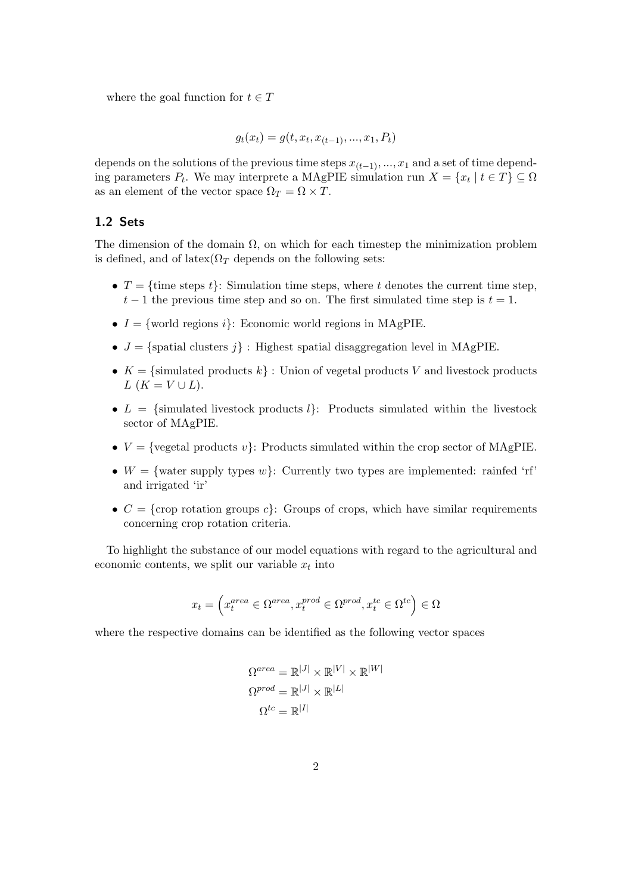where the goal function for  $t \in T$ 

$$
g_t(x_t) = g(t, x_t, x_{(t-1)}, ..., x_1, P_t)
$$

depends on the solutions of the previous time steps  $x_{(t-1)}, ..., x_1$  and a set of time depending parameters  $P_t$ . We may interprete a MAgPIE simulation run  $X = \{x_t | t \in T\} \subseteq \Omega$ as an element of the vector space  $\Omega_T = \Omega \times T$ .

#### <span id="page-1-0"></span>1.2 Sets

The dimension of the domain  $\Omega$ , on which for each timestep the minimization problem is defined, and of latex( $\Omega_T$  depends on the following sets:

- $T = \{$ time steps t $\}$ : Simulation time steps, where t denotes the current time step,  $t-1$  the previous time step and so on. The first simulated time step is  $t = 1$ .
- $I = \{\text{world regions } i\}$ : Economic world regions in MAgPIE.
- $J = {spatial clusters j}$ : Highest spatial disaggregation level in MAgPIE.
- $K = \{\text{simulated products } k\}$ : Union of vegetal products V and livestock products  $L(K = V \cup L).$
- $L = \{\text{simulated livestock products } l\}:$  Products simulated within the livestock sector of MAgPIE.
- $V = \{ \text{vegetal products } v \}$ : Products simulated within the crop sector of MAgPIE.
- $W = \{\text{water supply types } w\}$ : Currently two types are implemented: rainfed 'rf' and irrigated 'ir'
- $C = \{$ crop rotation groups c $\}$ : Groups of crops, which have similar requirements concerning crop rotation criteria.

To highlight the substance of our model equations with regard to the agricultural and economic contents, we split our variable  $x_t$  into

$$
x_t = \left(x_t^{area} \in \Omega^{area}, x_t^{prod} \in \Omega^{prod}, x_t^{tc} \in \Omega^{tc}\right) \in \Omega
$$

where the respective domains can be identified as the following vector spaces

$$
\begin{aligned} \Omega^{area} &= \mathbb{R}^{|J|} \times \mathbb{R}^{|V|} \times \mathbb{R}^{|W|} \\ \Omega^{prod} &= \mathbb{R}^{|J|} \times \mathbb{R}^{|L|} \\ \Omega^{tc} &= \mathbb{R}^{|I|} \end{aligned}
$$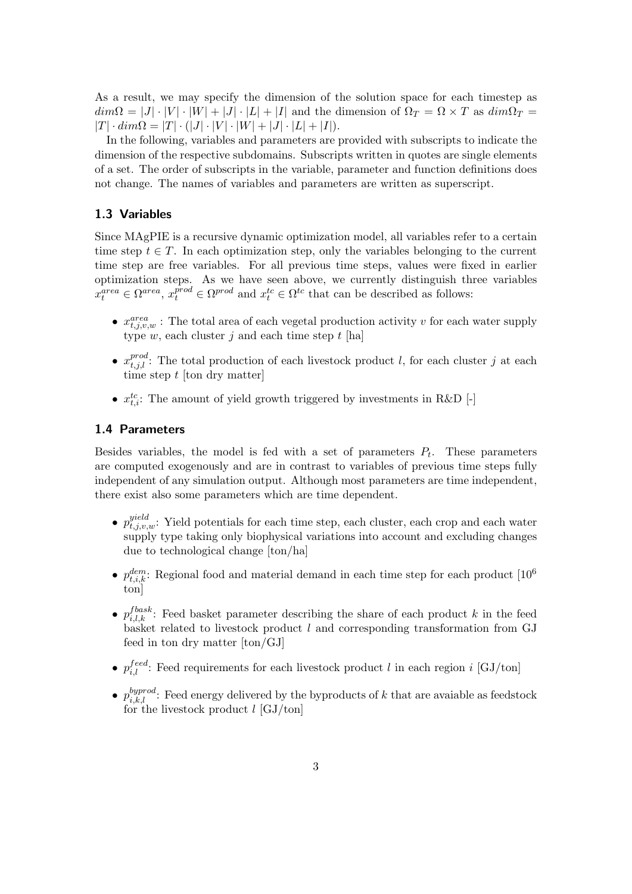As a result, we may specify the dimension of the solution space for each timestep as  $dim\Omega = |J| \cdot |V| \cdot |W| + |J| \cdot |L| + |I|$  and the dimension of  $\Omega_T = \Omega \times T$  as  $dim\Omega_T =$  $|T| \cdot dim\Omega = |T| \cdot (|J| \cdot |V| \cdot |W| + |J| \cdot |L| + |I|).$ 

In the following, variables and parameters are provided with subscripts to indicate the dimension of the respective subdomains. Subscripts written in quotes are single elements of a set. The order of subscripts in the variable, parameter and function definitions does not change. The names of variables and parameters are written as superscript.

#### <span id="page-2-0"></span>1.3 Variables

Since MAgPIE is a recursive dynamic optimization model, all variables refer to a certain time step  $t \in T$ . In each optimization step, only the variables belonging to the current time step are free variables. For all previous time steps, values were fixed in earlier optimization steps. As we have seen above, we currently distinguish three variables  $x_t^{area} \in \Omega^{area}$ ,  $x_t^{prod} \in \Omega^{prod}$  and  $x_t^{tc} \in \Omega^{tc}$  that can be described as follows:

- $x_{t,j,v,w}^{area}$ : The total area of each vegetal production activity v for each water supply type  $w$ , each cluster  $j$  and each time step  $t$  [ha]
- $x_{t,j,l}^{prod}$ : The total production of each livestock product l, for each cluster j at each time step  $t$  [ton dry matter]
- $x_{t,i}^{tc}$ : The amount of yield growth triggered by investments in R&D [-]

#### <span id="page-2-1"></span>1.4 Parameters

Besides variables, the model is fed with a set of parameters  $P_t$ . These parameters are computed exogenously and are in contrast to variables of previous time steps fully independent of any simulation output. Although most parameters are time independent, there exist also some parameters which are time dependent.

- $p_{t,j,v,w}^{yield}$ : Yield potentials for each time step, each cluster, each crop and each water supply type taking only biophysical variations into account and excluding changes due to technological change [ton/ha]
- $p_{t,i,k}^{dem}$ : Regional food and material demand in each time step for each product [10<sup>6</sup>] ton]
- $p_{i,l,k}^{f{base}}$ : Feed basket parameter describing the share of each product k in the feed basket related to livestock product  $l$  and corresponding transformation from GJ feed in ton dry matter [ton/GJ]
- $p_{i,l}^{feed}$ : Feed requirements for each livestock product l in each region i [GJ/ton]
- $p_{i,k,l}^{byprod}$ : Feed energy delivered by the byproducts of k that are avaiable as feedstock for the livestock product  $l$  [GJ/ton]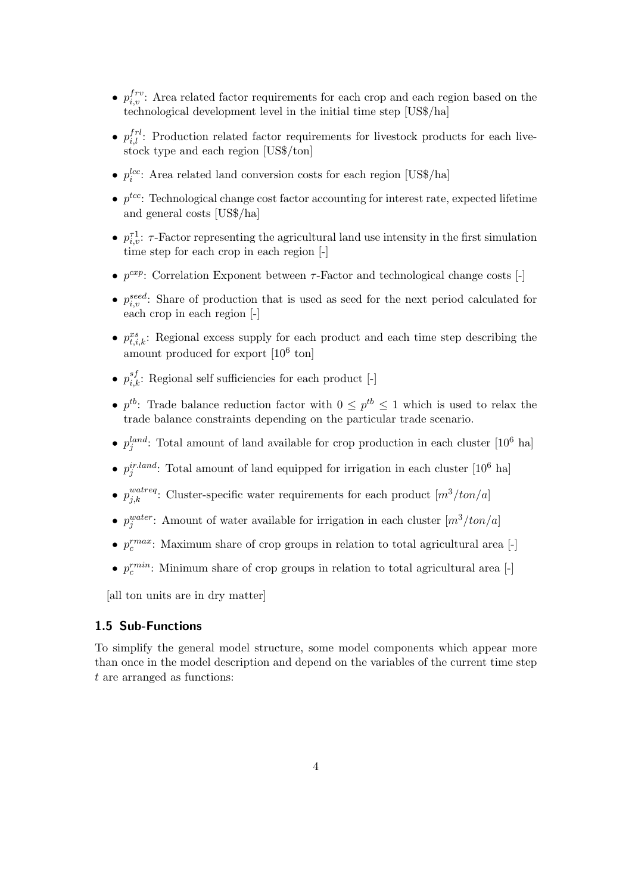- $p_{i,v}^{frv}$ : Area related factor requirements for each crop and each region based on the technological development level in the initial time step [US\$/ha]
- $p_{i,l}^{frl}$ : Production related factor requirements for livestock products for each livestock type and each region [US\$/ton]
- $p_i^{lcc}$ : Area related land conversion costs for each region [US\$/ha]
- $p^{tcc}$ : Technological change cost factor accounting for interest rate, expected lifetime and general costs [US\$/ha]
- $p_{i,v}^{\tau,1}$ :  $\tau$ -Factor representing the agricultural land use intensity in the first simulation time step for each crop in each region [-]
- $p^{exp}$ : Correlation Exponent between  $\tau$ -Factor and technological change costs [-]
- $p_{i,v}^{seed}$ : Share of production that is used as seed for the next period calculated for each crop in each region [-]
- $p_{t,i,k}^{xs}$ : Regional excess supply for each product and each time step describing the amount produced for export  $[10^6 \text{ ton}]$
- $p_{i,k}^{sf}$ : Regional self sufficiencies for each product [-]
- $p^{tb}$ : Trade balance reduction factor with  $0 \leq p^{tb} \leq 1$  which is used to relax the trade balance constraints depending on the particular trade scenario.
- $p_j^{land}$ : Total amount of land available for crop production in each cluster [10<sup>6</sup> ha]
- $p_j^{ir. land}$ : Total amount of land equipped for irrigation in each cluster [10<sup>6</sup> ha]
- $p_{j,k}^{watereq}$ : Cluster-specific water requirements for each product  $[m^3/ton/a]$
- $p_j^{water}$ : Amount of water available for irrigation in each cluster  $[m^3/ton/a]$
- $p_c^{rmax}$ : Maximum share of crop groups in relation to total agricultural area [-]
- $p_c^{rmin}$ : Minimum share of crop groups in relation to total agricultural area [-]

[all ton units are in dry matter]

#### <span id="page-3-0"></span>1.5 Sub-Functions

To simplify the general model structure, some model components which appear more than once in the model description and depend on the variables of the current time step t are arranged as functions: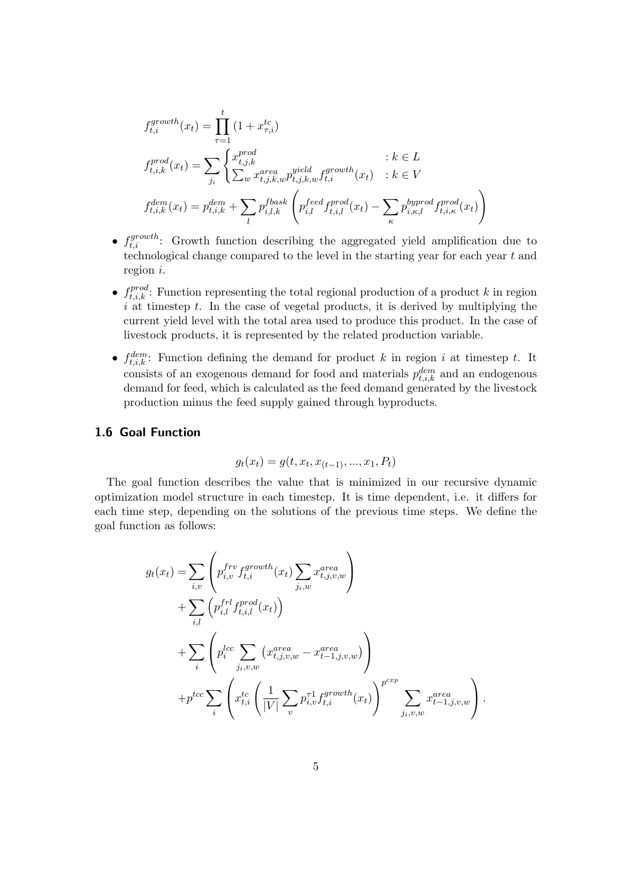$$
f_{t,i}^{growth}(x_t) = \prod_{\tau=1}^{t} (1 + x_{\tau,i}^{tc})
$$
  
\n
$$
f_{t,i,k}^{prod}(x_t) = \sum_{j_i} \begin{cases} x_{t,j,k}^{prod} & : k \in L \\ \sum_{w} x_{t,j,k,w}^{area} p_{t,j,k,w}^{yield} f_{t,i}^{growth}(x_t) & : k \in V \end{cases}
$$
  
\n
$$
f_{t,i,k}^{dem}(x_t) = p_{t,i,k}^{dem} + \sum_{l} p_{i,l,k}^{f{base}} \left( p_{i,l}^{feed} f_{t,i,l}^{prod}(x_t) - \sum_{\kappa} p_{i,\kappa,l}^{byrrod} f_{t,i,\kappa}^{prod}(x_t) \right)
$$

- $f_{t,i}^{growth}$ : Growth function describing the aggregated yield amplification due to technological change compared to the level in the starting year for each year  $t$  and region i.
- $f_{t,i,k}^{prod}$ : Function representing the total regional production of a product k in region  $\overline{i}$  at timestep t. In the case of vegetal products, it is derived by multiplying the current yield level with the total area used to produce this product. In the case of livestock products, it is represented by the related production variable.
- $f_{t,i,k}^{dem}$ : Function defining the demand for product k in region i at timestep t. It consists of an exogenous demand for food and materials  $p_{t,i,k}^{dem}$  and an endogenous demand for feed, which is calculated as the feed demand generated by the livestock production minus the feed supply gained through byproducts.

#### <span id="page-4-0"></span>1.6 Goal Function

$$
g_t(x_t) = g(t, x_t, x_{(t-1)}, ..., x_1, P_t)
$$

The goal function describes the value that is minimized in our recursive dynamic optimization model structure in each timestep. It is time dependent, i.e. it differs for each time step, depending on the solutions of the previous time steps. We define the goal function as follows:

$$
g_t(x_t) = \sum_{i,v} \left( p_{i,v}^{frv} f_{t,i}^{growth}(x_t) \sum_{j_i,w} x_{t,j,v,w}^{area} \right) + \sum_{i,l} \left( p_{i,l}^{frl} f_{t,i,l}^{prod}(x_t) \right) + \sum_i \left( p_i^{lcc} \sum_{j_i,v,w} \left( x_{t,j,v,w}^{area} - x_{t-1,j,v,w}^{area} \right) \right) + p^{tcc} \sum_i \left( x_{t,i}^{tc} \left( \frac{1}{|V|} \sum_v p_{i,v}^{τ} f_{t,i}^{growth}(x_t) \right)^{p^{cxp}} \sum_{j_i,v,w} x_{t-1,j,v,w}^{area} \right).
$$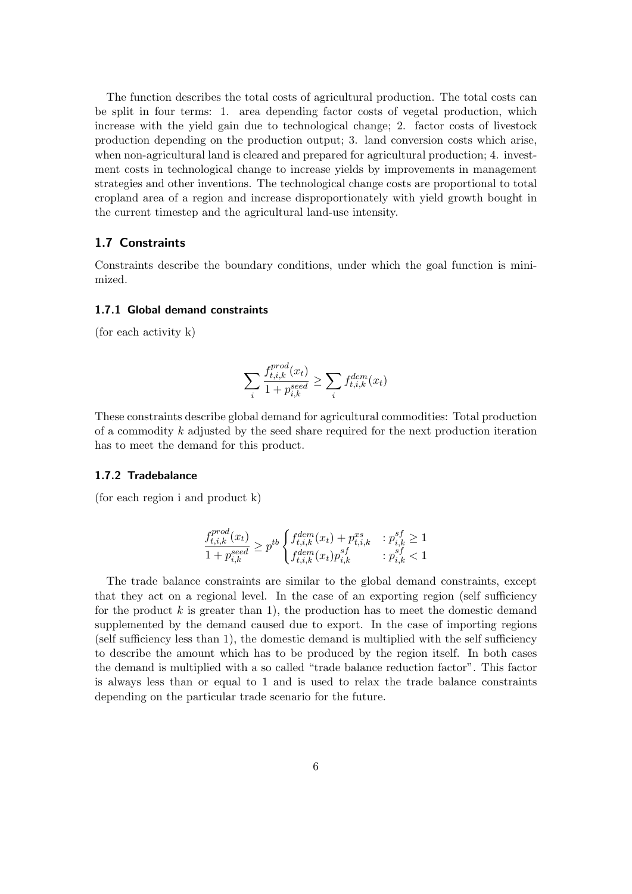The function describes the total costs of agricultural production. The total costs can be split in four terms: 1. area depending factor costs of vegetal production, which increase with the yield gain due to technological change; 2. factor costs of livestock production depending on the production output; 3. land conversion costs which arise, when non-agricultural land is cleared and prepared for agricultural production; 4. investment costs in technological change to increase yields by improvements in management strategies and other inventions. The technological change costs are proportional to total cropland area of a region and increase disproportionately with yield growth bought in the current timestep and the agricultural land-use intensity.

#### <span id="page-5-0"></span>1.7 Constraints

Constraints describe the boundary conditions, under which the goal function is minimized.

#### <span id="page-5-1"></span>1.7.1 Global demand constraints

(for each activity k)

$$
\sum_{i} \frac{f_{t,i,k}^{prod}(x_t)}{1 + p_{i,k}^{seed}} \ge \sum_{i} f_{t,i,k}^{dem}(x_t)
$$

These constraints describe global demand for agricultural commodities: Total production of a commodity k adjusted by the seed share required for the next production iteration has to meet the demand for this product.

#### <span id="page-5-2"></span>1.7.2 Tradebalance

(for each region i and product k)

$$
\frac{f_{t,i,k}^{prod}(x_t)}{1+p_{i,k}^{seed}} \ge p^{tb} \begin{cases} f_{t,i,k}^{dem}(x_t) + p_{t,i,k}^{xs} & : p_{i,k}^{sf} \ge 1 \\ f_{t,i,k}^{dem}(x_t) p_{i,k}^{sf} & : p_{i,k}^{sf} < 1 \end{cases}
$$

The trade balance constraints are similar to the global demand constraints, except that they act on a regional level. In the case of an exporting region (self sufficiency for the product  $k$  is greater than 1), the production has to meet the domestic demand supplemented by the demand caused due to export. In the case of importing regions (self sufficiency less than 1), the domestic demand is multiplied with the self sufficiency to describe the amount which has to be produced by the region itself. In both cases the demand is multiplied with a so called "trade balance reduction factor". This factor is always less than or equal to 1 and is used to relax the trade balance constraints depending on the particular trade scenario for the future.